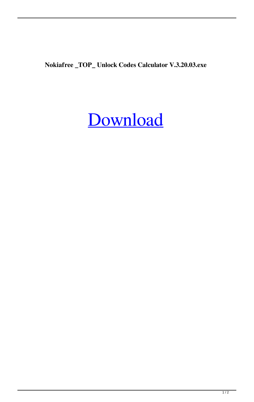**Nokiafree \_TOP\_ Unlock Codes Calculator V.3.20.03.exe**